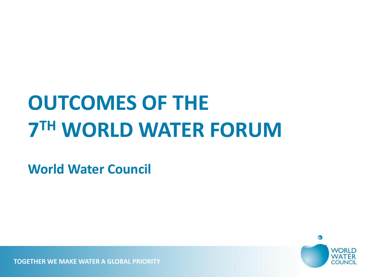# **OUTCOMES OF THE 7 TH WORLD WATER FORUM**

**World Water Council**

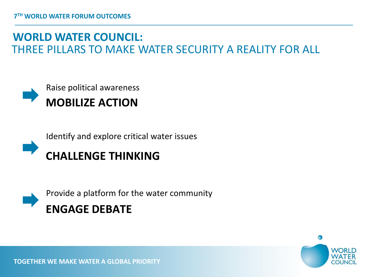#### **WORLD WATER COUNCIL:** THREE PILLARS TO MAKE WATER SECURITY A REALITY FOR ALL



Identify and explore critical water issues





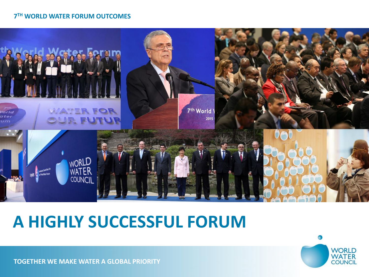#### **7 TH WORLD WATER FORUM OUTCOMES**



### **A HIGHLY SUCCESSFUL FORUM**

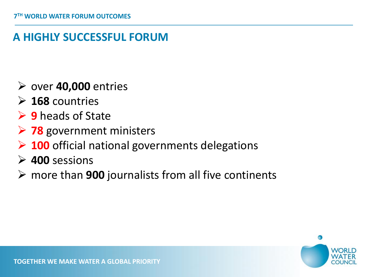### **A HIGHLY SUCCESSFUL FORUM**

- over **40,000** entries
- **168** countries
- **→ 9** heads of State
- **78** government ministers
- **100** official national governments delegations
- **400** sessions
- more than **900** journalists from all five continents

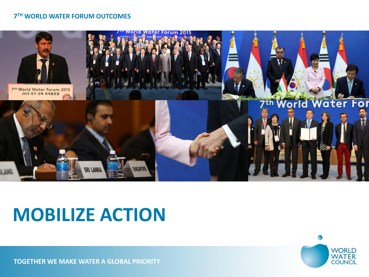#### **7 TH WORLD WATER FORUM OUTCOMES**



## **MOBILIZE ACTION**

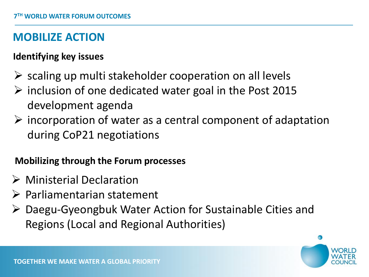#### **MOBILIZE ACTION**

#### **Identifying key issues**

- $\triangleright$  scaling up multi stakeholder cooperation on all levels
- $\triangleright$  inclusion of one dedicated water goal in the Post 2015 development agenda
- $\triangleright$  incorporation of water as a central component of adaptation during CoP21 negotiations

#### **Mobilizing through the Forum processes**

- Ministerial Declaration
- Parliamentarian statement
- Daegu-Gyeongbuk Water Action for Sustainable Cities and Regions (Local and Regional Authorities)

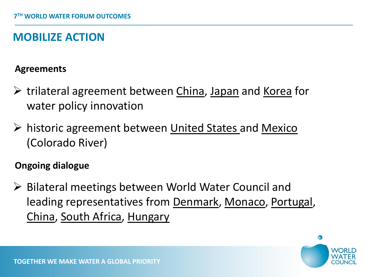### **MOBILIZE ACTION**

#### **Agreements**

- $\triangleright$  trilateral agreement between China, Japan and Korea for water policy innovation
- ▶ historic agreement between United States and Mexico (Colorado River)

#### **Ongoing dialogue**

▶ Bilateral meetings between World Water Council and leading representatives from Denmark, Monaco, Portugal, China, South Africa, Hungary

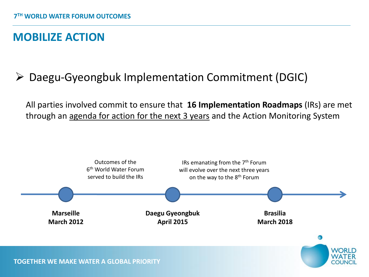#### **MOBILIZE ACTION**

### Daegu-Gyeongbuk Implementation Commitment (DGIC)

 All parties involved commit to ensure that **16 Implementation Roadmaps** (IRs) are met through an agenda for action for the next 3 years and the Action Monitoring System

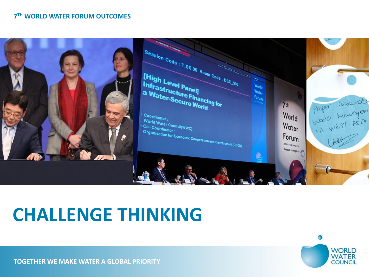#### **7 TH WORLD WATER FORUM OUTCOMES**



## **CHALLENGE THINKING**

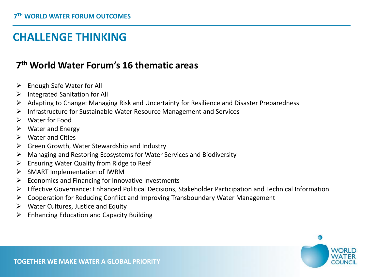#### **7 th World Water Forum's 16 thematic areas**

- $\triangleright$  Enough Safe Water for All
- $\triangleright$  Integrated Sanitation for All
- Adapting to Change: Managing Risk and Uncertainty for Resilience and Disaster Preparedness
- $\triangleright$  Infrastructure for Sustainable Water Resource Management and Services
- Water for Food
- $\triangleright$  Water and Energy
- $\triangleright$  Water and Cities
- $\triangleright$  Green Growth, Water Stewardship and Industry
- $\triangleright$  Managing and Restoring Ecosystems for Water Services and Biodiversity
- $\triangleright$  Ensuring Water Quality from Ridge to Reef
- $\triangleright$  SMART Implementation of IWRM
- $\triangleright$  Economics and Financing for Innovative Investments
- Effective Governance: Enhanced Political Decisions, Stakeholder Participation and Technical Information
- $\triangleright$  Cooperation for Reducing Conflict and Improving Transboundary Water Management
- $\triangleright$  Water Cultures, Justice and Equity
- Enhancing Education and Capacity Building

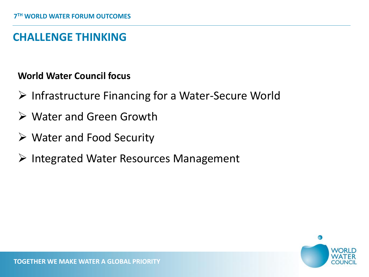#### **World Water Council focus**

- $\triangleright$  Infrastructure Financing for a Water-Secure World
- Water and Green Growth
- Water and Food Security
- $\triangleright$  Integrated Water Resources Management

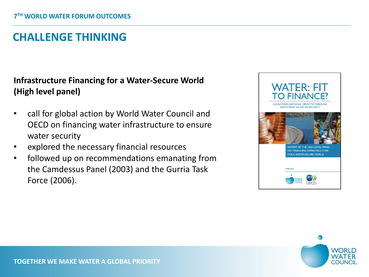#### **Infrastructure Financing for a Water-Secure World (High level panel)**

- call for global action by World Water Council and OECD on financing water infrastructure to ensure water security
- explored the necessary financial resources
- followed up on recommendations emanating from the Camdessus Panel (2003) and the Gurria Task Force (2006).



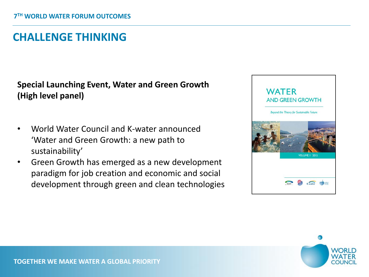#### **Special Launching Event, Water and Green Growth (High level panel)**

- World Water Council and K-water announced 'Water and Green Growth: a new path to sustainability'
- Green Growth has emerged as a new development paradigm for job creation and economic and social development through green and clean technologies



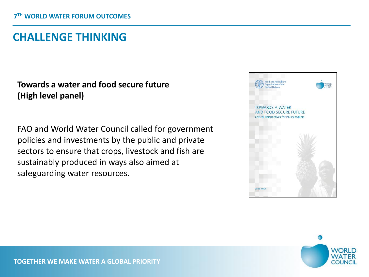#### **Towards a water and food secure future (High level panel)**

FAO and World Water Council called for government policies and investments by the public and private sectors to ensure that crops, livestock and fish are sustainably produced in ways also aimed at safeguarding water resources.



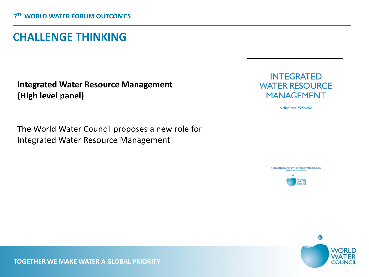#### **Integrated Water Resource Management (High level panel)**

The World Water Council proposes a new role for Integrated Water Resource Management



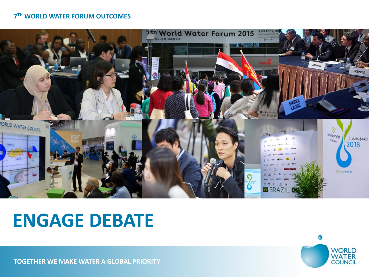#### **7 TH WORLD WATER FORUM OUTCOMES**



## **ENGAGE DEBATE**

Ω **WORLD WATER**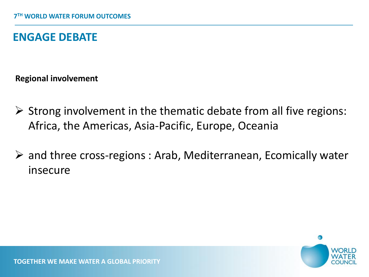#### **ENGAGE DEBATE**

**Regional involvement**

- $\triangleright$  Strong involvement in the thematic debate from all five regions: Africa, the Americas, Asia-Pacific, Europe, Oceania
- and three cross-regions : Arab, Mediterranean, Ecomically water insecure

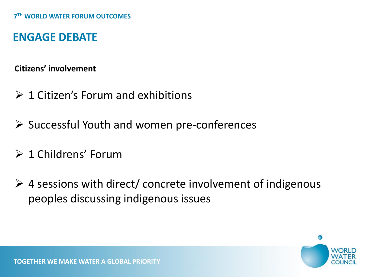#### **ENGAGE DEBATE**

**Citizens' involvement**

- $\geq 1$  Citizen's Forum and exhibitions
- $\triangleright$  Successful Youth and women pre-conferences
- $\geq 1$  Childrens' Forum
- $\triangleright$  4 sessions with direct/ concrete involvement of indigenous peoples discussing indigenous issues

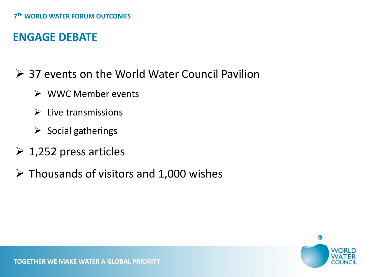#### **ENGAGE DEBATE**

- 37 events on the World Water Council Pavilion
	- $\triangleright$  WWC Member events
	- $\triangleright$  Live transmissions
	- $\triangleright$  Social gatherings
- $\geq 1,252$  press articles
- $\triangleright$  Thousands of visitors and 1,000 wishes

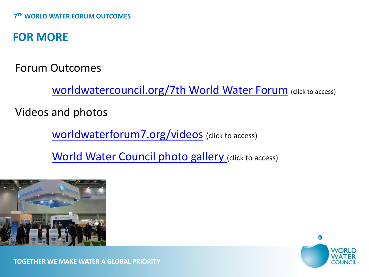### **FOR MORE**

Forum Outcomes

Worldwatercouncil.org/7th World Water Forum (click to access)

Videos and photos

[worldwaterforum7.org/videos](http://eng.worldwaterforum7.org/news/onair/video/list.asp) (click to access)

[World Water Council photo gallery](https://www.flickr.com/photos/worldwatercouncil/sets/72157651906966271) [\(](https://www.flickr.com/photos/worldwatercouncil/sets/72157651906966271)click to access)